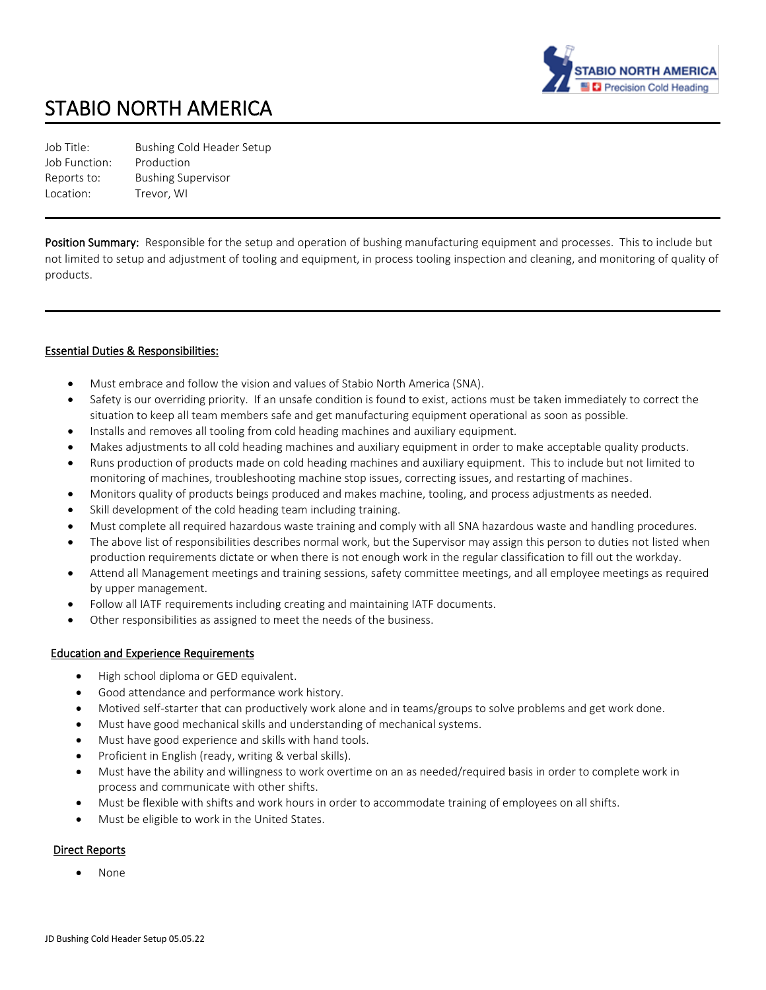

# STABIO NORTH AMERICA

Job Title: Bushing Cold Header Setup Job Function: Production Reports to: Bushing Supervisor Location: Trevor, WI

Position Summary: Responsible for the setup and operation of bushing manufacturing equipment and processes. This to include but not limited to setup and adjustment of tooling and equipment, in process tooling inspection and cleaning, and monitoring of quality of products.

#### Essential Duties & Responsibilities:

- Must embrace and follow the vision and values of Stabio North America (SNA).
- Safety is our overriding priority. If an unsafe condition is found to exist, actions must be taken immediately to correct the situation to keep all team members safe and get manufacturing equipment operational as soon as possible.
- Installs and removes all tooling from cold heading machines and auxiliary equipment.
- Makes adjustments to all cold heading machines and auxiliary equipment in order to make acceptable quality products.
- Runs production of products made on cold heading machines and auxiliary equipment. This to include but not limited to monitoring of machines, troubleshooting machine stop issues, correcting issues, and restarting of machines.
- Monitors quality of products beings produced and makes machine, tooling, and process adjustments as needed.
- Skill development of the cold heading team including training.
- Must complete all required hazardous waste training and comply with all SNA hazardous waste and handling procedures.
- The above list of responsibilities describes normal work, but the Supervisor may assign this person to duties not listed when production requirements dictate or when there is not enough work in the regular classification to fill out the workday.
- Attend all Management meetings and training sessions, safety committee meetings, and all employee meetings as required by upper management.
- Follow all IATF requirements including creating and maintaining IATF documents.
- Other responsibilities as assigned to meet the needs of the business.

#### Education and Experience Requirements

- High school diploma or GED equivalent.
- Good attendance and performance work history.
- Motived self-starter that can productively work alone and in teams/groups to solve problems and get work done.
- Must have good mechanical skills and understanding of mechanical systems.
- Must have good experience and skills with hand tools.
- Proficient in English (ready, writing & verbal skills).
- Must have the ability and willingness to work overtime on an as needed/required basis in order to complete work in process and communicate with other shifts.
- Must be flexible with shifts and work hours in order to accommodate training of employees on all shifts.
- Must be eligible to work in the United States.

#### Direct Reports

• None